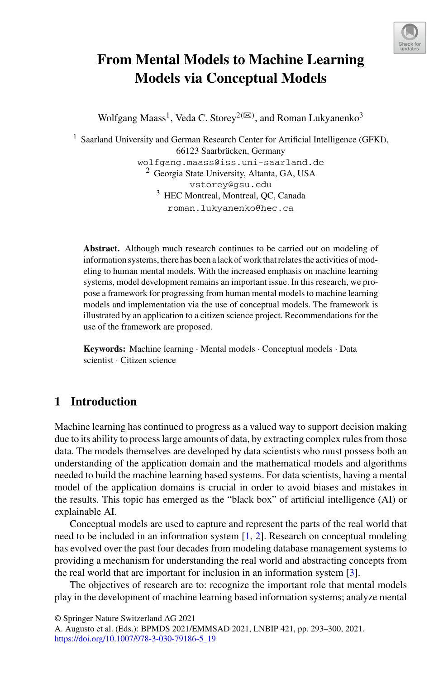

# **From Mental Models to Machine Learning Models via Conceptual Models**

Wolfgang Maass<sup>1</sup>, Veda C. Storey<sup>2(⊠)</sup>, and Roman Lukyanenko<sup>3</sup>

<sup>1</sup> Saarland University and German Research Center for Artificial Intelligence (GFKI), 66123 Saarbrücken, Germany wolfgang.maass@iss.uni-saarland.de <sup>2</sup> Georgia State University, Altanta, GA, USA vstorey@gsu.edu <sup>3</sup> HEC Montreal, Montreal, QC, Canada roman.lukyanenko@hec.ca

**Abstract.** Although much research continues to be carried out on modeling of information systems, there has been a lack of work that relates the activities of modeling to human mental models. With the increased emphasis on machine learning systems, model development remains an important issue. In this research, we propose a framework for progressing from human mental models to machine learning models and implementation via the use of conceptual models. The framework is illustrated by an application to a citizen science project. Recommendations for the use of the framework are proposed.

**Keywords:** Machine learning · Mental models · Conceptual models · Data scientist · Citizen science

# **1 Introduction**

Machine learning has continued to progress as a valued way to support decision making due to its ability to process large amounts of data, by extracting complex rules from those data. The models themselves are developed by data scientists who must possess both an understanding of the application domain and the mathematical models and algorithms needed to build the machine learning based systems. For data scientists, having a mental model of the application domains is crucial in order to avoid biases and mistakes in the results. This topic has emerged as the "black box" of artificial intelligence (AI) or explainable AI.

Conceptual models are used to capture and represent the parts of the real world that need to be included in an information system [\[1,](#page-6-0) [2\]](#page-6-1). Research on conceptual modeling has evolved over the past four decades from modeling database management systems to providing a mechanism for understanding the real world and abstracting concepts from the real world that are important for inclusion in an information system [\[3\]](#page-6-2).

The objectives of research are to: recognize the important role that mental models play in the development of machine learning based information systems; analyze mental

<sup>©</sup> Springer Nature Switzerland AG 2021

A. Augusto et al. (Eds.): BPMDS 2021/EMMSAD 2021, LNBIP 421, pp. 293–300, 2021. [https://doi.org/10.1007/978-3-030-79186-5\\_19](https://doi.org/10.1007/978-3-030-79186-5_19)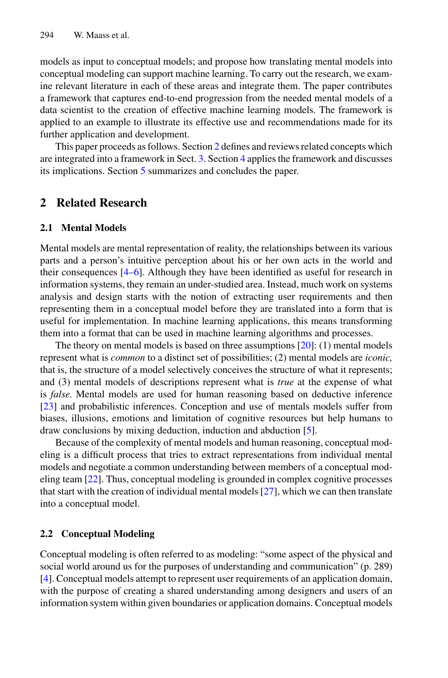models as input to conceptual models; and propose how translating mental models into conceptual modeling can support machine learning. To carry out the research, we examine relevant literature in each of these areas and integrate them. The paper contributes a framework that captures end-to-end progression from the needed mental models of a data scientist to the creation of effective machine learning models. The framework is applied to an example to illustrate its effective use and recommendations made for its further application and development.

This paper proceeds as follows. Section [2](#page-1-0) defines and reviews related concepts which are integrated into a framework in Sect. [3.](#page-1-1) Section [4](#page-1-2) applies the framework and discusses its implications. Section [5](#page-2-0) summarizes and concludes the paper.

### <span id="page-1-1"></span><span id="page-1-0"></span>**2 Related Research**

#### **2.1 Mental Models**

Mental models are mental representation of reality, the relationships between its various parts and a person's intuitive perception about his or her own acts in the world and their consequences [\[4](#page-6-3)[–6\]](#page-6-4). Although they have been identified as useful for research in information systems, they remain an under-studied area. Instead, much work on systems analysis and design starts with the notion of extracting user requirements and then representing them in a conceptual model before they are translated into a form that is useful for implementation. In machine learning applications, this means transforming them into a format that can be used in machine learning algorithms and processes.

The theory on mental models is based on three assumptions  $[20]$ : (1) mental models represent what is *common* to a distinct set of possibilities; (2) mental models are *iconic,* that is, the structure of a model selectively conceives the structure of what it represents; and (3) mental models of descriptions represent what is *true* at the expense of what is *false*. Mental models are used for human reasoning based on deductive inference [\[23\]](#page-7-1) and probabilistic inferences. Conception and use of mentals models suffer from biases, illusions, emotions and limitation of cognitive resources but help humans to draw conclusions by mixing deduction, induction and abduction [\[5\]](#page-6-5).

Because of the complexity of mental models and human reasoning, conceptual modeling is a difficult process that tries to extract representations from individual mental models and negotiate a common understanding between members of a conceptual modeling team [\[22\]](#page-7-2). Thus, conceptual modeling is grounded in complex cognitive processes that start with the creation of individual mental models [\[27\]](#page-7-3), which we can then translate into a conceptual model.

#### <span id="page-1-2"></span>**2.2 Conceptual Modeling**

Conceptual modeling is often referred to as modeling: "some aspect of the physical and social world around us for the purposes of understanding and communication" (p. 289) [\[4\]](#page-6-3). Conceptual models attempt to represent user requirements of an application domain, with the purpose of creating a shared understanding among designers and users of an information system within given boundaries or application domains. Conceptual models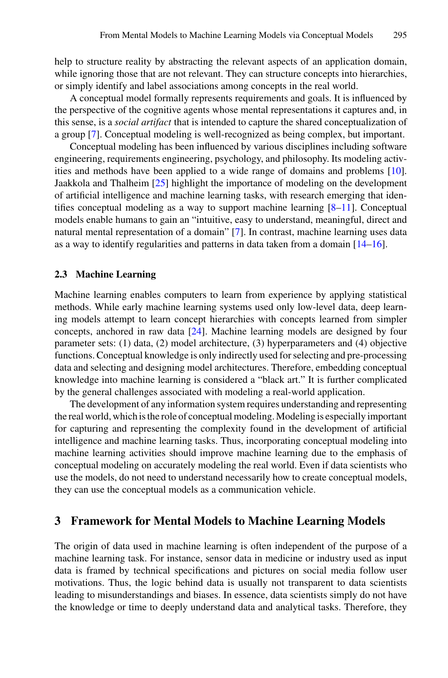help to structure reality by abstracting the relevant aspects of an application domain, while ignoring those that are not relevant. They can structure concepts into hierarchies, or simply identify and label associations among concepts in the real world.

A conceptual model formally represents requirements and goals. It is influenced by the perspective of the cognitive agents whose mental representations it captures and, in this sense, is a *social artifact* that is intended to capture the shared conceptualization of a group [\[7\]](#page-6-6). Conceptual modeling is well-recognized as being complex, but important.

Conceptual modeling has been influenced by various disciplines including software engineering, requirements engineering, psychology, and philosophy. Its modeling activities and methods have been applied to a wide range of domains and problems [\[10\]](#page-6-7). Jaakkola and Thalheim [\[25\]](#page-7-4) highlight the importance of modeling on the development of artificial intelligence and machine learning tasks, with research emerging that identifies conceptual modeling as a way to support machine learning [\[8–](#page-6-8)[11\]](#page-6-9). Conceptual models enable humans to gain an "intuitive, easy to understand, meaningful, direct and natural mental representation of a domain" [\[7\]](#page-6-6). In contrast, machine learning uses data as a way to identify regularities and patterns in data taken from a domain [\[14–](#page-7-5)[16\]](#page-7-6).

#### <span id="page-2-0"></span>**2.3 Machine Learning**

Machine learning enables computers to learn from experience by applying statistical methods. While early machine learning systems used only low-level data, deep learning models attempt to learn concept hierarchies with concepts learned from simpler concepts, anchored in raw data [\[24\]](#page-7-7). Machine learning models are designed by four parameter sets: (1) data, (2) model architecture, (3) hyperparameters and (4) objective functions. Conceptual knowledge is only indirectly used for selecting and pre-processing data and selecting and designing model architectures. Therefore, embedding conceptual knowledge into machine learning is considered a "black art." It is further complicated by the general challenges associated with modeling a real-world application.

The development of any information system requires understanding and representing the real world, which is the role of conceptual modeling.Modeling is especially important for capturing and representing the complexity found in the development of artificial intelligence and machine learning tasks. Thus, incorporating conceptual modeling into machine learning activities should improve machine learning due to the emphasis of conceptual modeling on accurately modeling the real world. Even if data scientists who use the models, do not need to understand necessarily how to create conceptual models, they can use the conceptual models as a communication vehicle.

#### **3 Framework for Mental Models to Machine Learning Models**

The origin of data used in machine learning is often independent of the purpose of a machine learning task. For instance, sensor data in medicine or industry used as input data is framed by technical specifications and pictures on social media follow user motivations. Thus, the logic behind data is usually not transparent to data scientists leading to misunderstandings and biases. In essence, data scientists simply do not have the knowledge or time to deeply understand data and analytical tasks. Therefore, they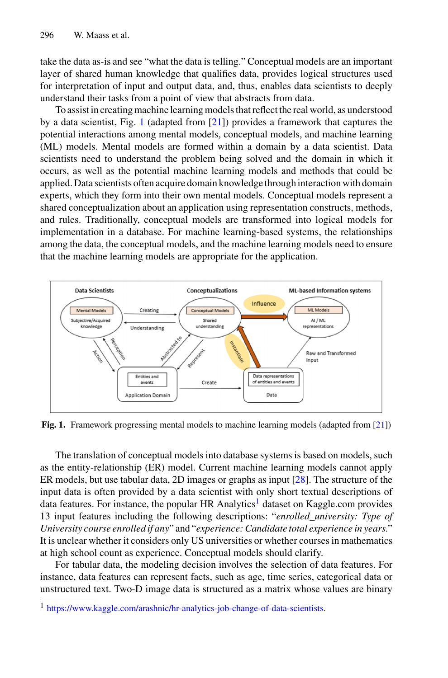take the data as-is and see "what the data is telling." Conceptual models are an important layer of shared human knowledge that qualifies data, provides logical structures used for interpretation of input and output data, and, thus, enables data scientists to deeply understand their tasks from a point of view that abstracts from data.

To assist in creating machine learning models that reflect the real world, as understood by a data scientist, Fig. [1](#page-3-0) (adapted from [\[21\]](#page-7-8)) provides a framework that captures the potential interactions among mental models, conceptual models, and machine learning (ML) models. Mental models are formed within a domain by a data scientist. Data scientists need to understand the problem being solved and the domain in which it occurs, as well as the potential machine learning models and methods that could be applied. Data scientists often acquire domain knowledge through interaction with domain experts, which they form into their own mental models. Conceptual models represent a shared conceptualization about an application using representation constructs, methods, and rules. Traditionally, conceptual models are transformed into logical models for implementation in a database. For machine learning-based systems, the relationships among the data, the conceptual models, and the machine learning models need to ensure that the machine learning models are appropriate for the application.



<span id="page-3-0"></span>**Fig. 1.** Framework progressing mental models to machine learning models (adapted from [\[21\]](#page-7-8))

The translation of conceptual models into database systems is based on models, such as the entity-relationship (ER) model. Current machine learning models cannot apply ER models, but use tabular data, 2D images or graphs as input [\[28\]](#page-7-9). The structure of the input data is often provided by a data scientist with only short textual descriptions of data features. For instance, the popular HR Analytics<sup>[1](#page-3-1)</sup> dataset on Kaggle.com provides 13 input features including the following descriptions: "*enrolled\_university: Type of University course enrolled if any*" and "*experience: Candidate total experience in years*." It is unclear whether it considers only US universities or whether courses in mathematics at high school count as experience. Conceptual models should clarify.

For tabular data, the modeling decision involves the selection of data features. For instance, data features can represent facts, such as age, time series, categorical data or unstructured text. Two-D image data is structured as a matrix whose values are binary

<span id="page-3-1"></span><sup>1</sup> [https://www.kaggle.com/arashnic/hr-analytics-job-change-of-data-scientists.](https://www.kaggle.com/arashnic/hr-analytics-job-change-of-data-scientists)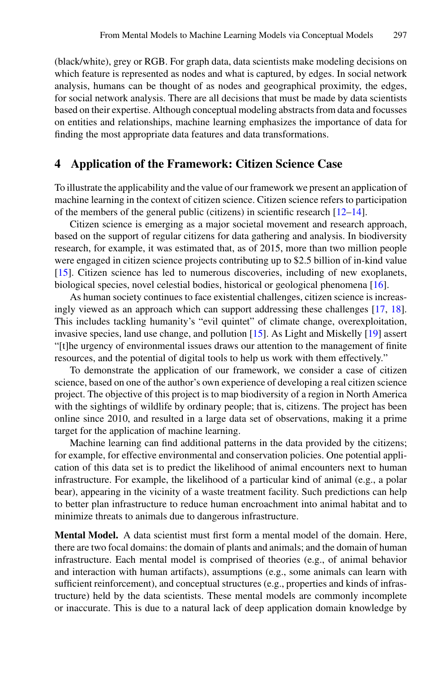(black/white), grey or RGB. For graph data, data scientists make modeling decisions on which feature is represented as nodes and what is captured, by edges. In social network analysis, humans can be thought of as nodes and geographical proximity, the edges, for social network analysis. There are all decisions that must be made by data scientists based on their expertise. Although conceptual modeling abstracts from data and focusses on entities and relationships, machine learning emphasizes the importance of data for finding the most appropriate data features and data transformations.

#### **4 Application of the Framework: Citizen Science Case**

To illustrate the applicability and the value of our framework we present an application of machine learning in the context of citizen science. Citizen science refers to participation of the members of the general public (citizens) in scientific research [\[12–](#page-7-10)[14\]](#page-7-5).

Citizen science is emerging as a major societal movement and research approach, based on the support of regular citizens for data gathering and analysis. In biodiversity research, for example, it was estimated that, as of 2015, more than two million people were engaged in citizen science projects contributing up to \$2.5 billion of in-kind value [\[15\]](#page-7-11). Citizen science has led to numerous discoveries, including of new exoplanets, biological species, novel celestial bodies, historical or geological phenomena [\[16\]](#page-7-6).

As human society continues to face existential challenges, citizen science is increasingly viewed as an approach which can support addressing these challenges [\[17,](#page-7-12) [18\]](#page-7-13). This includes tackling humanity's "evil quintet" of climate change, overexploitation, invasive species, land use change, and pollution [\[15\]](#page-7-11). As Light and Miskelly [\[19\]](#page-7-14) assert "[t]he urgency of environmental issues draws our attention to the management of finite resources, and the potential of digital tools to help us work with them effectively."

To demonstrate the application of our framework, we consider a case of citizen science, based on one of the author's own experience of developing a real citizen science project. The objective of this project is to map biodiversity of a region in North America with the sightings of wildlife by ordinary people; that is, citizens. The project has been online since 2010, and resulted in a large data set of observations, making it a prime target for the application of machine learning.

Machine learning can find additional patterns in the data provided by the citizens; for example, for effective environmental and conservation policies. One potential application of this data set is to predict the likelihood of animal encounters next to human infrastructure. For example, the likelihood of a particular kind of animal (e.g., a polar bear), appearing in the vicinity of a waste treatment facility. Such predictions can help to better plan infrastructure to reduce human encroachment into animal habitat and to minimize threats to animals due to dangerous infrastructure.

**Mental Model.** A data scientist must first form a mental model of the domain. Here, there are two focal domains: the domain of plants and animals; and the domain of human infrastructure. Each mental model is comprised of theories (e.g., of animal behavior and interaction with human artifacts), assumptions (e.g., some animals can learn with sufficient reinforcement), and conceptual structures (e.g., properties and kinds of infrastructure) held by the data scientists. These mental models are commonly incomplete or inaccurate. This is due to a natural lack of deep application domain knowledge by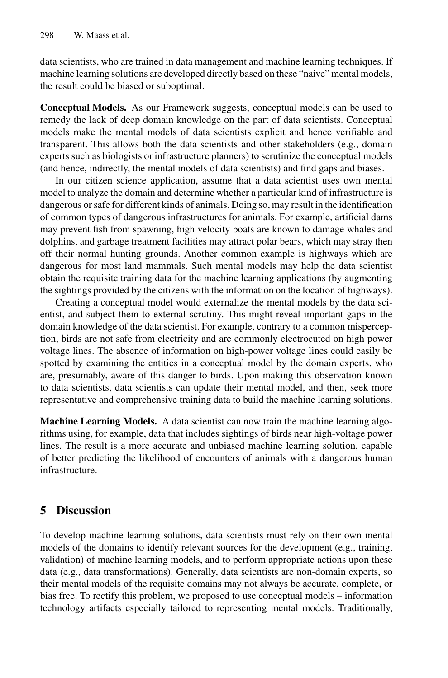data scientists, who are trained in data management and machine learning techniques. If machine learning solutions are developed directly based on these "naive" mental models, the result could be biased or suboptimal.

**Conceptual Models.** As our Framework suggests, conceptual models can be used to remedy the lack of deep domain knowledge on the part of data scientists. Conceptual models make the mental models of data scientists explicit and hence verifiable and transparent. This allows both the data scientists and other stakeholders (e.g., domain experts such as biologists or infrastructure planners) to scrutinize the conceptual models (and hence, indirectly, the mental models of data scientists) and find gaps and biases.

In our citizen science application, assume that a data scientist uses own mental model to analyze the domain and determine whether a particular kind of infrastructure is dangerous or safe for different kinds of animals. Doing so, may result in the identification of common types of dangerous infrastructures for animals. For example, artificial dams may prevent fish from spawning, high velocity boats are known to damage whales and dolphins, and garbage treatment facilities may attract polar bears, which may stray then off their normal hunting grounds. Another common example is highways which are dangerous for most land mammals. Such mental models may help the data scientist obtain the requisite training data for the machine learning applications (by augmenting the sightings provided by the citizens with the information on the location of highways).

Creating a conceptual model would externalize the mental models by the data scientist, and subject them to external scrutiny. This might reveal important gaps in the domain knowledge of the data scientist. For example, contrary to a common misperception, birds are not safe from electricity and are commonly electrocuted on high power voltage lines. The absence of information on high-power voltage lines could easily be spotted by examining the entities in a conceptual model by the domain experts, who are, presumably, aware of this danger to birds. Upon making this observation known to data scientists, data scientists can update their mental model, and then, seek more representative and comprehensive training data to build the machine learning solutions.

**Machine Learning Models.** A data scientist can now train the machine learning algorithms using, for example, data that includes sightings of birds near high-voltage power lines. The result is a more accurate and unbiased machine learning solution, capable of better predicting the likelihood of encounters of animals with a dangerous human infrastructure.

# **5 Discussion**

To develop machine learning solutions, data scientists must rely on their own mental models of the domains to identify relevant sources for the development (e.g., training, validation) of machine learning models, and to perform appropriate actions upon these data (e.g., data transformations). Generally, data scientists are non-domain experts, so their mental models of the requisite domains may not always be accurate, complete, or bias free. To rectify this problem, we proposed to use conceptual models – information technology artifacts especially tailored to representing mental models. Traditionally,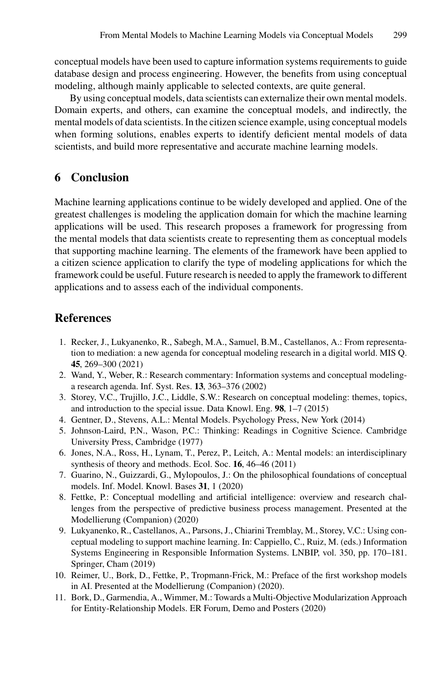conceptual models have been used to capture information systems requirements to guide database design and process engineering. However, the benefits from using conceptual modeling, although mainly applicable to selected contexts, are quite general.

By using conceptual models, data scientists can externalize their own mental models. Domain experts, and others, can examine the conceptual models, and indirectly, the mental models of data scientists. In the citizen science example, using conceptual models when forming solutions, enables experts to identify deficient mental models of data scientists, and build more representative and accurate machine learning models.

# **6 Conclusion**

Machine learning applications continue to be widely developed and applied. One of the greatest challenges is modeling the application domain for which the machine learning applications will be used. This research proposes a framework for progressing from the mental models that data scientists create to representing them as conceptual models that supporting machine learning. The elements of the framework have been applied to a citizen science application to clarify the type of modeling applications for which the framework could be useful. Future research is needed to apply the framework to different applications and to assess each of the individual components.

# **References**

- <span id="page-6-0"></span>1. Recker, J., Lukyanenko, R., Sabegh, M.A., Samuel, B.M., Castellanos, A.: From representation to mediation: a new agenda for conceptual modeling research in a digital world. MIS Q. **45**, 269–300 (2021)
- <span id="page-6-1"></span>2. Wand, Y., Weber, R.: Research commentary: Information systems and conceptual modelinga research agenda. Inf. Syst. Res. **13**, 363–376 (2002)
- <span id="page-6-2"></span>3. Storey, V.C., Trujillo, J.C., Liddle, S.W.: Research on conceptual modeling: themes, topics, and introduction to the special issue. Data Knowl. Eng. **98**, 1–7 (2015)
- <span id="page-6-3"></span>4. Gentner, D., Stevens, A.L.: Mental Models. Psychology Press, New York (2014)
- <span id="page-6-5"></span>5. Johnson-Laird, P.N., Wason, P.C.: Thinking: Readings in Cognitive Science. Cambridge University Press, Cambridge (1977)
- <span id="page-6-4"></span>6. Jones, N.A., Ross, H., Lynam, T., Perez, P., Leitch, A.: Mental models: an interdisciplinary synthesis of theory and methods. Ecol. Soc. **16**, 46–46 (2011)
- <span id="page-6-6"></span>7. Guarino, N., Guizzardi, G., Mylopoulos, J.: On the philosophical foundations of conceptual models. Inf. Model. Knowl. Bases **31**, 1 (2020)
- <span id="page-6-8"></span>8. Fettke, P.: Conceptual modelling and artificial intelligence: overview and research challenges from the perspective of predictive business process management. Presented at the Modellierung (Companion) (2020)
- 9. Lukyanenko, R., Castellanos, A., Parsons, J., Chiarini Tremblay, M., Storey, V.C.: Using conceptual modeling to support machine learning. In: Cappiello, C., Ruiz, M. (eds.) Information Systems Engineering in Responsible Information Systems. LNBIP, vol. 350, pp. 170–181. Springer, Cham (2019)
- <span id="page-6-7"></span>10. Reimer, U., Bork, D., Fettke, P., Tropmann-Frick, M.: Preface of the first workshop models in AI. Presented at the Modellierung (Companion) (2020).
- <span id="page-6-9"></span>11. Bork, D., Garmendia, A., Wimmer, M.: Towards a Multi-Objective Modularization Approach for Entity-Relationship Models. ER Forum, Demo and Posters (2020)